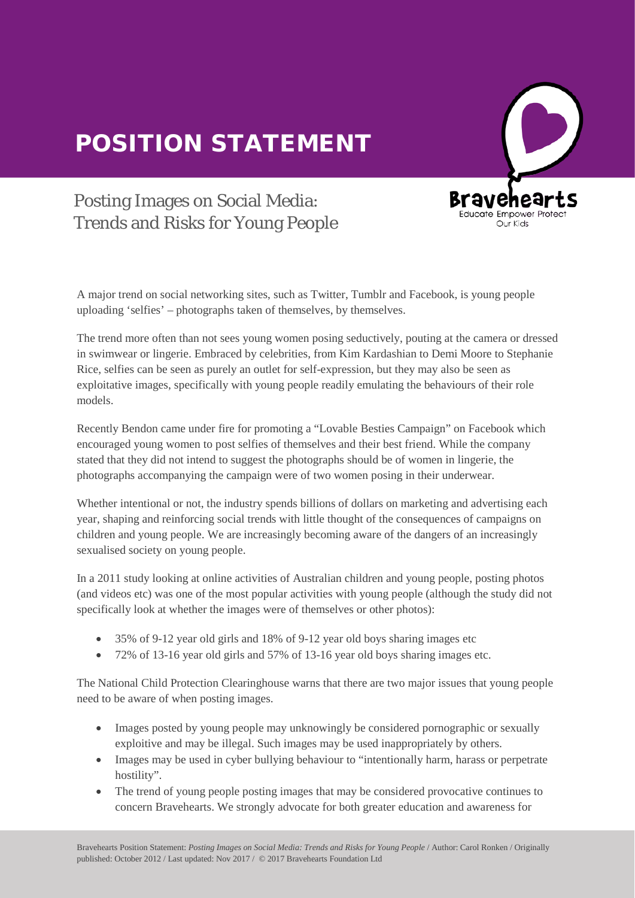## POSITION STATEMENT



## Posting Images on Social Media: Trends and Risks for Young People

A major trend on social networking sites, such as Twitter, Tumblr and Facebook, is young people uploading 'selfies' – photographs taken of themselves, by themselves.

The trend more often than not sees young women posing seductively, pouting at the camera or dressed in swimwear or lingerie. Embraced by celebrities, from Kim Kardashian to Demi Moore to Stephanie Rice, selfies can be seen as purely an outlet for self-expression, but they may also be seen as exploitative images, specifically with young people readily emulating the behaviours of their role models.

Recently Bendon came under fire for promoting a "Lovable Besties Campaign" on Facebook which encouraged young women to post selfies of themselves and their best friend. While the company stated that they did not intend to suggest the photographs should be of women in lingerie, the photographs accompanying the campaign were of two women posing in their underwear.  $\overline{a}$ 

Whether intentional or not, the industry spends billions of dollars on marketing and advertising each whether intentional or not, the muustry spends billions of donars on marketing and advertising each<br>year, shaping and reinforcing social trends with little thought of the consequences of campaigns on children and young people. We are increasingly becoming aware of the dangers of an increasingly sexualised society on young people.

In a 2011 study looking at online activities of Australian children and young people, posting photos (and videos etc) was one of the most popular activities with young people (although the study did not specifically look at whether the images were of themselves or other photos):

- 35% of 9-12 year old girls and 18% of 9-12 year old boys sharing images etc
- 72% of 13-16 year old girls and 57% of 13-16 year old boys sharing images etc.  $\bullet$

The National Child Protection Clearinghouse warns that there are two major issues that young people need to be aware of when posting images.

- Images posted by young people may unknowingly be considered pornographic or sexually exploitive and may be illegal. Such images may be used inappropriately by others.
- Images may be used in cyber bullying behaviour to "intentionally harm, harass or perpetrate hostility".
- The trend of young people posting images that may be considered provocative continues to concern Bravehearts. We strongly advocate for both greater education and awareness for